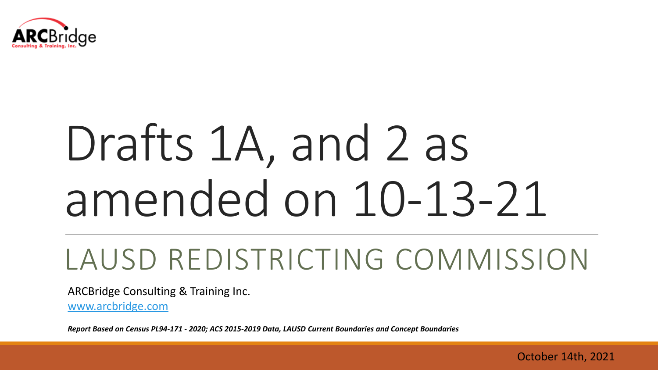

# Drafts 1A, and 2 as amended on 10-13-21

# LAUSD REDISTRICTING COMMISSION

ARCBridge Consulting & Training Inc.

[www.arcbridge.com](http://www.arcbridge.com/)

*Report Based on Census PL94-171 - 2020; ACS 2015-2019 Data, LAUSD Current Boundaries and Concept Boundaries* 

October 14th, 2021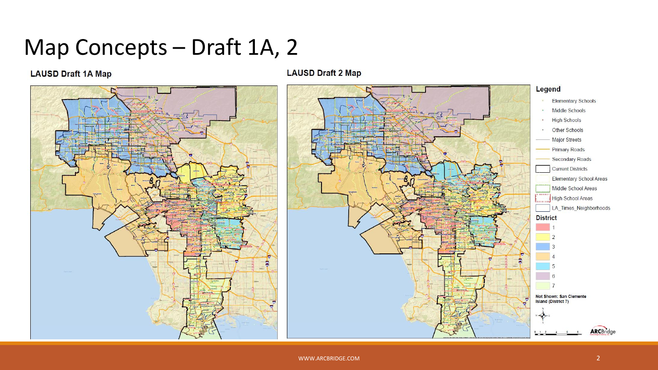Map Concepts – Draft 1A, 2

#### **LAUSD Draft 1A Map**



#### **LAUSD Draft 2 Map**

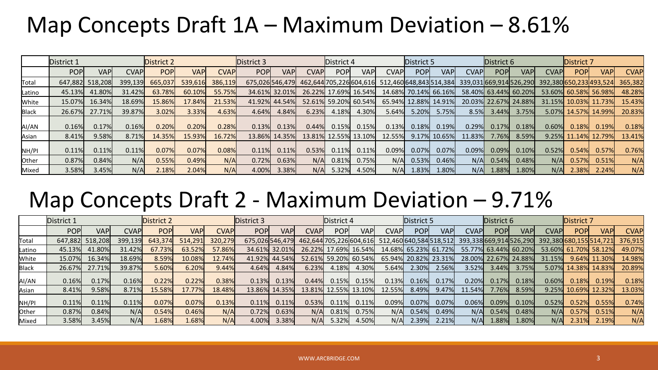#### Map Concepts Draft  $1A -$  Maximum Deviation  $-8.61\%$

|        | District 1 |                 |         | District 2 |         | District 3  |                | District 4    |       |       | District 5              |                         |                      | District 6   |                       |            | District 7           |                         |             |                      |             |
|--------|------------|-----------------|---------|------------|---------|-------------|----------------|---------------|-------|-------|-------------------------|-------------------------|----------------------|--------------|-----------------------|------------|----------------------|-------------------------|-------------|----------------------|-------------|
|        | <b>POP</b> | <b>VAP</b>      | CVAPI   | <b>POP</b> | VAPI    | <b>CVAP</b> | <b>POP</b>     | <b>VAP</b>    | CVAPI | POP   | <b>VAP</b>              | <b>CVAP</b>             | <b>POP</b>           | <b>VAP</b>   | <b>CVAP</b>           | <b>POP</b> | <b>VAPI</b>          | <b>CVAP</b>             | <b>POPI</b> | <b>VAPI</b>          | <b>CVAP</b> |
| Total  |            | 647,882 518,208 | 399,139 | 665,037    | 539,616 | 386,119     | 675,026546,479 |               |       |       | 462,644 705,226 604,616 | 512,460 648,843 514,384 |                      |              | 339,031669,914526,290 |            |                      | 392,380 650,233 493,524 |             |                      | 365,382     |
| Latino | 45.13%     | 41.80%          | 31.42%  | 63.78%     | 60.10%  | 55.75%      |                | 34.61% 32.01% |       |       | 26.22% 17.69% 16.54%    |                         | 14.68% 70.14% 66.16% |              |                       |            | 58.40% 63.44% 60.20% |                         |             | 53.60% 60.58% 56.98% | 48.28%      |
| White  | 15.07%     | 16.34%          | 18.69%  | 15.86%     | 17.84%  | 21.53%      |                | 41.92% 44.54% |       |       | 52.61% 59.20% 60.54%    |                         | 65.94% 12.88% 14.91% |              |                       |            | 20.03% 22.67% 24.88% |                         |             | 31.15% 10.03% 11.73% | 15.43%      |
| Black  | 26.67%     | 27.71%          | 39.87%  | 3.02%      | 3.33%   | 4.63%       | 4.64%          | 4.84%         | 6.23% | 4.18% | 4.30%                   | 5.64%                   | 5.20%                | 5.75%        | 8.5%                  | 3.44%      | 3.75%                |                         |             | 5.07% 14.57% 14.99%  | 20.83%      |
| AI/AN  | 0.16%      | 0.17%           | 0.16%   | 0.20%      | 0.20%   | 0.28%       | 0.13%          | 0.13%         | 0.44% | 0.15% | 0.15%                   | 0.13%                   | 0.18%                | 0.19%        | 0.29%                 | 0.17%      | 0.18%                | 0.60%                   | 0.18%       | 0.19%                | 0.18%       |
| Asian  | 8.41%      | 9.58%           | 8.71%   | 14.35%     | 15.93%  | 16.72%      |                | 13.86% 14.35% |       |       | 13.81% 12.55% 13.10%    | 12.55%                  |                      | 9.17% 10.65% | 11.83%                | 7.76%      | 8.59%                |                         |             | 9.25% 11.14% 12.79%  | 13.41%      |
| NH/PI  | 0.11%      | 0.11%           | 0.11%   | 0.07%      | 0.07%   | 0.08%       | 0.11%          | 0.11%         | 0.53% | 0.11% | 0.11%                   | 0.09%                   | 0.07%                | 0.07%        | 0.09%                 | $0.09\%$   | 0.10%                | 0.52%                   | 0.54%       | 0.57%                | 0.76%       |
| Other  | 0.87%      | 0.84%           | N/A     | 0.55%      | 0.49%   | N/A         | 0.72%          | 0.63%         | N/A   | 0.81% | 0.75%                   | N/A                     | 0.53%                | 0.46%        | N/A                   | 0.54%      | 0.48%                | N/A                     | 0.57%       | 0.51%                | N/A         |
| Mixed  | 3.58%      | 3.45%           | N/A     | 2.18%      | 2.04%   | N/A         | 4.00%          | 3.38%         | N/A   | 5.32% | 4.50%                   | N/A                     | 1.83%                | 1.80%        | N/A                   | $1.88\%$   | 1.80%                | N/A                     | 2.38%       | 2.24%                | N/A         |

#### Map Concepts Draft 2 - Maximum Deviation – 9.71%

|        | District 1 |                 |         | District 2 |           |             | District 3<br>District 4 |                |        |                      |                      | District 5                                      |                      |            | District 6              |                      |            | District 7              |               |            |             |
|--------|------------|-----------------|---------|------------|-----------|-------------|--------------------------|----------------|--------|----------------------|----------------------|-------------------------------------------------|----------------------|------------|-------------------------|----------------------|------------|-------------------------|---------------|------------|-------------|
|        | <b>POP</b> | VAP             | CVAPI   | POPI       | VAPI      | <b>CVAP</b> | <b>POPI</b>              | <b>VAPI</b>    | CVAP   | POPI                 | <b>VAP</b>           | <b>CVAP</b>                                     | <b>POP</b>           | <b>VAP</b> | <b>CVAP</b>             | <b>POP</b>           | <b>VAP</b> | <b>CVAP</b>             | <b>POP</b>    | <b>VAP</b> | <b>CVAP</b> |
| Total  |            | 647,882 518,208 | 399,139 | 643,374    | 514,291   | 320,279     |                          | 675.026546.479 |        |                      |                      | 462,644 705,226 604,616 512,460 640,584 518,512 |                      |            | 393,338 669,914 526,290 |                      |            | 392,380 680,155 514,721 |               |            | 376,915     |
| Latino | 45.13%     | 41.80%          | 31.42%  | 67.73%     | 63.52%    | 57.86%      |                          | 34.61% 32.01%  |        |                      | 26.22% 17.69% 16.54% |                                                 | 14.68% 65.23% 61.72% |            |                         | 55.77% 63.44% 60.20% |            |                         | 53.60% 61.70% | 58.12%     | 49.07%      |
| White  | 15.07%     | 16.34%          | 18.69%  | 8.59%      | $10.08\%$ | 12.74%      | 41.92%                   | 44.54%         |        | 52.61% 59.20% 60.54% |                      |                                                 | 65.94% 20.82% 23.31% |            |                         | 28.00% 22.67% 24.88% |            | 31.15%                  | 9.64%         | 11.30%     | 14.98%      |
| Black  | 26.67%     | 27.71%          | 39.87%  | 5.60%      | 6.20%     | 9.44%       | 4.64%                    | 4.84%          | 6.23%  | 4.18%                | 4.30%                | 5.64%                                           | 2.30%                | 2.56%      | 3.52%                   | 3.44%                | 3.75%      | 5.07%                   | 14.38%        | 14.83%     | 20.89%      |
| AI/AN  | 0.16%      | 0.17%l          | 0.16%   | 0.22%      | 0.22%     | 0.38%       | 0.13%                    | 0.13%          | 0.44%  | 0.15%                | 0.15%                | 0.13%                                           | 0.16%                | 0.17%      | 0.20%                   | 0.17%                | 0.18%      | 0.60%                   | 0.18%         | 0.19%      | 0.18%       |
| Asian  | 8.41%      | 9.58%           | 8.71%   | 15.58%     | L7.77%    | 18.48%      | 13.86%                   | 14.35%         | 13.81% | 12.55%               | 13.10%               | 12.55%                                          | 8.49%                | 9.47%      | 11.54%                  | $7.76\%$             | 8.59%      | 9.25%                   | 10.69%        | 12.32%     | 13.03%      |
| NH/PI  | 0.11%      | 0.11%           | 0.11%   | 0.07%      | 0.07%     | 0.13%       | 0.11%                    | 0.11%          | 0.53%  | 0.11%                | 0.11%                | 0.09%                                           | 0.07%                | 0.07%      | 0.06%                   | 0.09%                | 0.10%      | 0.52%                   | 0.52%         | 0.55%      | 0.74%       |
| Other  | 0.87%      | 0.84%           | N/A     | 0.54%      | 0.46%     | N/A         | 0.72%                    | 0.63%          | N/A    | 0.81%                | 0.75%                | N/A                                             | 0.54%                | 0.49%      | N/A                     | 0.54%                | 0.48%      | N/A                     | 0.57%         | 0.51%      | N/A         |
| Mixed  | 3.58%      | 3.45%l          | N/A     | 1.68%      | 1.68%     | N/A         | 4.00%                    | 3.38%          | N/A    | 5.32%                | 4.50%                | N/A                                             | 2.39%                | 2.21%      | N/A                     | L.88%                | 1.80%      | N/A                     | 2.31%         | 2.19%      | N/A         |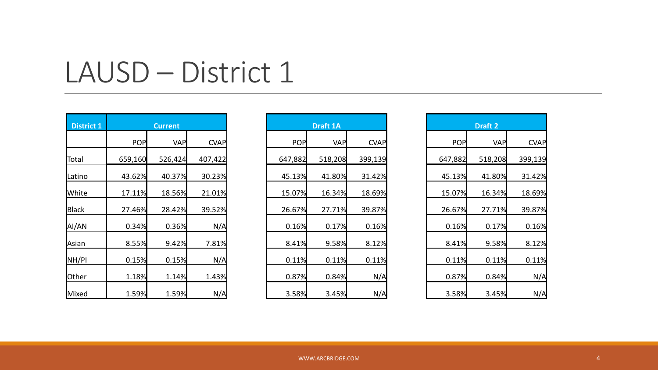| <b>District 1</b> |         | <b>Current</b> |             |            | <b>Draft 1A</b> |             |            | Draft 2    |             |  |
|-------------------|---------|----------------|-------------|------------|-----------------|-------------|------------|------------|-------------|--|
|                   | POP     | <b>VAP</b>     | <b>CVAP</b> | <b>POP</b> | <b>VAP</b>      | <b>CVAP</b> | <b>POP</b> | <b>VAP</b> | <b>CVAP</b> |  |
| Total             | 659,160 | 526,424        | 407,422     | 647,882    | 518,208         | 399,139     | 647,882    | 518,208    | 399,139     |  |
| Latino            | 43.62%  | 40.37%         | 30.23%      | 45.13%     | 41.80%          | 31.42%      | 45.13%     | 41.80%     | 31.42%      |  |
| White             | 17.11%  | 18.56%         | 21.01%      | 15.07%     | 16.34%          | 18.69%      | 15.07%     | 16.34%     | 18.69%      |  |
| Black             | 27.46%  | 28.42%         | 39.52%      | 26.67%     | 27.71%          | 39.87%      | 26.67%     | 27.71%     | 39.87%      |  |
| AI/AN             | 0.34%   | 0.36%          | N/A         | 0.16%      | 0.17%           | 0.16%       | 0.16%      | 0.17%      | 0.16%       |  |
| Asian             | 8.55%   | 9.42%          | 7.81%       | 8.41%      | 9.58%           | 8.12%       | 8.41%      | 9.58%      | 8.12%       |  |
| NH/PI             | 0.15%   | 0.15%          | N/A         | 0.11%      | 0.11%           | 0.11%       | 0.11%      | 0.11%      | 0.11%       |  |
| Other             | 1.18%   | 1.14%          | 1.43%       | 0.87%      | 0.84%           | N/A         | 0.87%      | 0.84%      | N/A         |  |
| Mixed             | 1.59%   | 1.59%          | N/A         | 3.58%      | 3.45%           | N/A         | 3.58%      | 3.45%      | N/A         |  |

|            | <b>Current</b> |             |
|------------|----------------|-------------|
| <b>POP</b> | <b>VAP</b>     | <b>CVAP</b> |
| ,160       | 526,424        | 407,422     |
| 62%        | 40.37%         | 30.23%      |
| 11%        | 18.56%         | 21.01%      |
| 46%        | 28.42%         | 39.52%      |
| 34%        | 0.36%          | N/A         |
| 55%        | 9.42%          | 7.81%       |
| 15%        | 0.15%          | N/A         |
| 18%        | 1.14%          | 1.43%       |
| 59%        | 1.59%          | N/A         |

| <b>Draft 2</b> |            |             |  |  |  |  |  |  |  |  |
|----------------|------------|-------------|--|--|--|--|--|--|--|--|
| POP            | <b>VAP</b> | <b>CVAP</b> |  |  |  |  |  |  |  |  |
| 647,882        | 518,208    | 399,139     |  |  |  |  |  |  |  |  |
| 45.13%         | 41.80%     | 31.42%      |  |  |  |  |  |  |  |  |
| 15.07%         | 16.34%     | 18.69%      |  |  |  |  |  |  |  |  |
| 26.67%         | 27.71%     | 39.87%      |  |  |  |  |  |  |  |  |
| 0.16%          | 0.17%      | 0.16%       |  |  |  |  |  |  |  |  |
| 8.41%          | 9.58%      | 8.12%       |  |  |  |  |  |  |  |  |
| 0.11%          | 0.11%      | 0.11%       |  |  |  |  |  |  |  |  |
| 0.87%          | 0.84%      | N/A         |  |  |  |  |  |  |  |  |
| 3.58%          | 3.45%      | N/A         |  |  |  |  |  |  |  |  |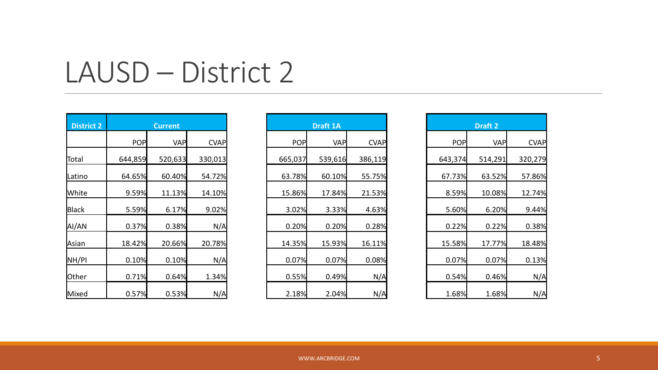| <b>District 2</b> |            | <b>Current</b> |             |            | <b>Draft 1A</b> |             | <b>Draft 2</b> |            |             |
|-------------------|------------|----------------|-------------|------------|-----------------|-------------|----------------|------------|-------------|
|                   | <b>POP</b> | <b>VAP</b>     | <b>CVAP</b> | <b>POP</b> | <b>VAP</b>      | <b>CVAP</b> | <b>POP</b>     | <b>VAP</b> | <b>CVAP</b> |
| Total             | 644,859    | 520,633        | 330,013     | 665,037    | 539,616         | 386,119     | 643,374        | 514,291    | 320,279     |
| Latino            | 64.65%     | 60.40%         | 54.72%      | 63.78%     | 60.10%          | 55.75%      | 67.73%         | 63.52%     | 57.86%      |
| <b>White</b>      | 9.59%      | 11.13%         | 14.10%      | 15.86%     | 17.84%          | 21.53%      | 8.59%          | 10.08%     | 12.74%      |
| Black             | 5.59%      | 6.17%          | 9.02%       | 3.02%      | 3.33%           | 4.63%       | 5.60%          | 6.20%      | 9.44%       |
| AI/AN             | 0.37%      | 0.38%          | N/A         | 0.20%      | 0.20%           | 0.28%       | 0.22%          | 0.22%      | 0.38%       |
| Asian             | 18.42%     | 20.66%         | 20.78%      | 14.35%     | 15.93%          | 16.11%      | 15.58%         | 17.77%     | 18.48%      |
| NH/PI             | 0.10%      | 0.10%          | N/A         | 0.07%      | 0.07%           | 0.08%       | 0.07%          | 0.07%      | 0.13%       |
| Other             | 0.71%      | 0.64%          | 1.34%       | 0.55%      | 0.49%           | N/A         | 0.54%          | 0.46%      | N/A         |
| Mixed             | 0.57%      | 0.53%          | N/A         | 2.18%      | 2.04%           | N/A         | 1.68%          | 1.68%      | N/A         |

|            | <b>Current</b> |             | <b>Draft 1A</b> |            |             |  |  |  |
|------------|----------------|-------------|-----------------|------------|-------------|--|--|--|
| <b>POP</b> | <b>VAP</b>     | <b>CVAP</b> | <b>POP</b>      | <b>VAP</b> | <b>CVAP</b> |  |  |  |
| ,859       | 520,633        | 330,013     | 665,037         | 539,616    | 386,119     |  |  |  |
| 65%        | 60.40%         | 54.72%      | 63.78%          | 60.10%     | 55.75%      |  |  |  |
| 59%        | 11.13%         | 14.10%      | 15.86%          | 17.84%     | 21.53%      |  |  |  |
| 59%        | 6.17%          | 9.02%       | 3.02%           | 3.33%      | 4.63%       |  |  |  |
| 37%        | 0.38%          | N/A         | 0.20%           | 0.20%      | 0.28%       |  |  |  |
| 42%        | 20.66%         | 20.78%      | 14.35%          | 15.93%     | 16.11%      |  |  |  |
| 10%        | 0.10%          | N/A         | 0.07%           | 0.07%      | 0.08%       |  |  |  |
| 71%        | 0.64%          | 1.34%       | 0.55%           | 0.49%      | N/A         |  |  |  |
| 57%        | 0.53%          | N/A         | 2.18%           | 2.04%      | N/A         |  |  |  |

|         | <b>Draft 2</b> |             |
|---------|----------------|-------------|
| POP     | <b>VAP</b>     | <b>CVAP</b> |
| 643,374 | 514,291        | 320,279     |
| 67.73%  | 63.52%         | 57.86%      |
| 8.59%   | 10.08%         | 12.74%      |
| 5.60%   | 6.20%          | 9.44%       |
| 0.22%   | 0.22%          | 0.38%       |
| 15.58%  | 17.77%         | 18.48%      |
| 0.07%   | 0.07%          | 0.13%       |
| 0.54%   | 0.46%          | N/A         |
| 1.68%   | 1.68%          | N/A         |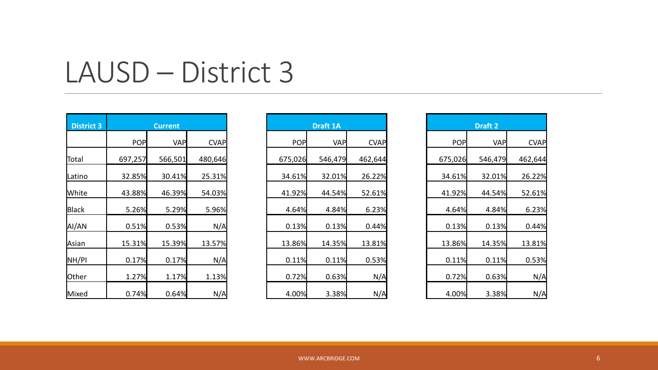| <b>District 3</b> |            | <b>Current</b> |             |            | <b>Draft 1A</b> |             |            | Draft 2    |             |
|-------------------|------------|----------------|-------------|------------|-----------------|-------------|------------|------------|-------------|
|                   | <b>POP</b> | <b>VAP</b>     | <b>CVAP</b> | <b>POP</b> | <b>VAP</b>      | <b>CVAP</b> | <b>POP</b> | <b>VAP</b> | <b>CVAP</b> |
| Total             | 697,257    | 566,501        | 480,646     | 675,026    | 546,479         | 462,644     | 675,026    | 546,479    | 462,644     |
| Latino            | 32.85%     | 30.41%         | 25.31%      | 34.61%     | 32.01%          | 26.22%      | 34.61%     | 32.01%     | 26.22%      |
| <b>White</b>      | 43.88%     | 46.39%         | 54.03%      | 41.92%     | 44.54%          | 52.61%      | 41.92%     | 44.54%     | 52.61%      |
| Black             | 5.26%      | 5.29%          | 5.96%       | 4.64%      | 4.84%           | 6.23%       | 4.64%      | 4.84%      | 6.23%       |
| AI/AN             | 0.51%      | 0.53%          | N/A         | 0.13%      | 0.13%           | 0.44%       | 0.13%      | 0.13%      | 0.44%       |
| Asian             | 15.31%     | 15.39%         | 13.57%      | 13.86%     | 14.35%          | 13.81%      | 13.86%     | 14.35%     | 13.81%      |
| NH/PI             | 0.17%      | 0.17%          | N/A         | 0.11%      | 0.11%           | 0.53%       | 0.11%      | 0.11%      | 0.53%       |
| Other             | 1.27%      | 1.17%          | 1.13%       | 0.72%      | 0.63%           | N/A         | 0.72%      | 0.63%      | N/A         |
| Mixed             | 0.74%      | 0.64%          | N/A         | 4.00%      | 3.38%           | N/A         | 4.00%      | 3.38%      | N/A         |

|            | <b>Current</b> |             | <b>Draft 1A</b> |            |             |  |  |
|------------|----------------|-------------|-----------------|------------|-------------|--|--|
| <b>POP</b> | <b>VAP</b>     | <b>CVAP</b> | <b>POP</b>      | <b>VAP</b> | <b>CVAP</b> |  |  |
| ,257       | 566,501        | 480,646     | 675,026         | 546,479    | 462,644     |  |  |
| 85%        | 30.41%         | 25.31%      | 34.61%          | 32.01%     | 26.22%      |  |  |
| 88%        | 46.39%         | 54.03%      | 41.92%          | 44.54%     | 52.61%      |  |  |
| 26%        | 5.29%          | 5.96%       | 4.64%           | 4.84%      | 6.23%       |  |  |
| 51%        | 0.53%          | N/A         | 0.13%           | 0.13%      | 0.44%       |  |  |
| 31%        | 15.39%         | 13.57%      | 13.86%          | 14.35%     | 13.81%      |  |  |
| 17%        | 0.17%          | N/A         | 0.11%           | 0.11%      | 0.53%       |  |  |
| 27%        | 1.17%          | 1.13%       | 0.72%           | 0.63%      | N/A         |  |  |
| 74%        | 0.64%          | N/A         | 4.00%           | 3.38%      | N/A         |  |  |

|         | <b>Draft 2</b> |             |
|---------|----------------|-------------|
| POP     | <b>VAP</b>     | <b>CVAP</b> |
| 675,026 | 546,479        | 462,644     |
| 34.61%  | 32.01%         | 26.22%      |
| 41.92%  | 44.54%         | 52.61%      |
| 4.64%   | 4.84%          | 6.23%       |
| 0.13%   | 0.13%          | 0.44%       |
| 13.86%  | 14.35%         | 13.81%      |
| 0.11%   | 0.11%          | 0.53%       |
| 0.72%   | 0.63%          | N/A         |
| 4.00%   | 3.38%          | N/A         |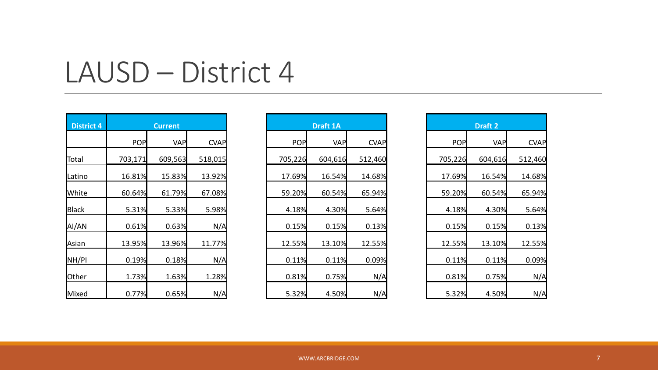| <b>District 4</b> |            | <b>Current</b> |             |            | <b>Draft 1A</b> |             |            | Draft 2    |             |  |
|-------------------|------------|----------------|-------------|------------|-----------------|-------------|------------|------------|-------------|--|
|                   | <b>POP</b> | <b>VAP</b>     | <b>CVAP</b> | <b>POP</b> | <b>VAP</b>      | <b>CVAP</b> | <b>POP</b> | <b>VAP</b> | <b>CVAP</b> |  |
| Total             | 703,171    | 609,563        | 518,015     | 705,226    | 604,616         | 512,460     | 705,226    | 604,616    | 512,460     |  |
| Latino            | 16.81%     | 15.83%         | 13.92%      | 17.69%     | 16.54%          | 14.68%      | 17.69%     | 16.54%     | 14.68%      |  |
| <b>White</b>      | 60.64%     | 61.79%         | 67.08%      | 59.20%     | 60.54%          | 65.94%      | 59.20%     | 60.54%     | 65.94%      |  |
| Black             | 5.31%      | 5.33%          | 5.98%       | 4.18%      | 4.30%           | 5.64%       | 4.18%      | 4.30%      | 5.64%       |  |
| AI/AN             | 0.61%      | 0.63%          | N/A         | 0.15%      | 0.15%           | 0.13%       | 0.15%      | 0.15%      | 0.13%       |  |
| Asian             | 13.95%     | 13.96%         | 11.77%      | 12.55%     | 13.10%          | 12.55%      | 12.55%     | 13.10%     | 12.55%      |  |
| NH/PI             | 0.19%      | 0.18%          | N/A         | 0.11%      | 0.11%           | 0.09%       | 0.11%      | 0.11%      | 0.09%       |  |
| Other             | 1.73%      | 1.63%          | 1.28%       | 0.81%      | 0.75%           | N/A         | 0.81%      | 0.75%      | N/A         |  |
| Mixed             | 0.77%      | 0.65%          | N/A         | 5.32%      | 4.50%           | N/A         | 5.32%      | 4.50%      | N/A         |  |

| <b>Current</b> |            |             |
|----------------|------------|-------------|
| <b>POP</b>     | <b>VAP</b> | <b>CVAP</b> |
| ,171           | 609,563    | 518,015     |
| 81%            | 15.83%     | 13.92%      |
| 64%            | 61.79%     | 67.08%      |
| 31%            | 5.33%      | 5.98%       |
| 61%            | 0.63%      | N/A         |
| 95%            | 13.96%     | 11.77%      |
| 19%            | 0.18%      | N/A         |
| 73%            | 1.63%      | 1.28%       |
| 77%            | 0.65%      | N/A         |

| <b>Draft 2</b> |            |             |  |  |  |  |  |  |
|----------------|------------|-------------|--|--|--|--|--|--|
| POP            | <b>VAP</b> | <b>CVAP</b> |  |  |  |  |  |  |
| 705,226        | 604,616    | 512,460     |  |  |  |  |  |  |
| 17.69%         | 16.54%     | 14.68%      |  |  |  |  |  |  |
| 59.20%         | 60.54%     | 65.94%      |  |  |  |  |  |  |
| 4.18%          | 4.30%      | 5.64%       |  |  |  |  |  |  |
| 0.15%          | 0.15%      | 0.13%       |  |  |  |  |  |  |
| 12.55%         | 13.10%     | 12.55%      |  |  |  |  |  |  |
| 0.11%          | 0.11%      | 0.09%       |  |  |  |  |  |  |
| 0.81%          | 0.75%      | N/A         |  |  |  |  |  |  |
| 5.32%          | 4.50%      | N/A         |  |  |  |  |  |  |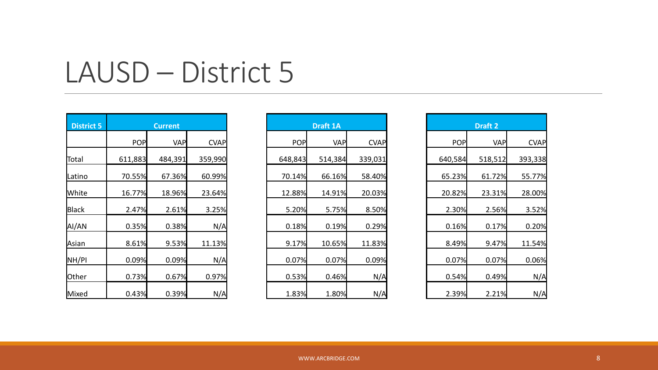| <b>District 5</b> |         | <b>Current</b> |             |            | <b>Draft 1A</b> |             |            | Draft 2    |             |
|-------------------|---------|----------------|-------------|------------|-----------------|-------------|------------|------------|-------------|
|                   | POP     | <b>VAP</b>     | <b>CVAP</b> | <b>POP</b> | <b>VAP</b>      | <b>CVAP</b> | <b>POP</b> | <b>VAP</b> | <b>CVAP</b> |
| Total             | 611,883 | 484,391        | 359,990     | 648,843    | 514,384         | 339,031     | 640,584    | 518,512    | 393,338     |
| Latino            | 70.55%  | 67.36%         | 60.99%      | 70.14%     | 66.16%          | 58.40%      | 65.23%     | 61.72%     | 55.77%      |
| White             | 16.77%  | 18.96%         | 23.64%      | 12.88%     | 14.91%          | 20.03%      | 20.82%     | 23.31%     | 28.00%      |
| <b>Black</b>      | 2.47%   | 2.61%          | 3.25%       | 5.20%      | 5.75%           | 8.50%       | 2.30%      | 2.56%      | 3.52%       |
| AI/AN             | 0.35%   | 0.38%          | N/A         | 0.18%      | 0.19%           | 0.29%       | 0.16%      | 0.17%      | 0.20%       |
| Asian             | 8.61%   | 9.53%          | 11.13%      | 9.17%      | 10.65%          | 11.83%      | 8.49%      | 9.47%      | 11.54%      |
| NH/PI             | 0.09%   | 0.09%          | N/A         | 0.07%      | 0.07%           | 0.09%       | 0.07%      | 0.07%      | 0.06%       |
| Other             | 0.73%   | 0.67%          | 0.97%       | 0.53%      | 0.46%           | N/A         | 0.54%      | 0.49%      | N/A         |
| Mixed             | 0.43%   | 0.39%          | N/A         | 1.83%      | 1.80%           | N/A         | 2.39%      | 2.21%      | N/A         |

| <b>Current</b> |            |             | <b>Draft 1A</b> |            |             |  |  |
|----------------|------------|-------------|-----------------|------------|-------------|--|--|
| <b>POP</b>     | <b>VAP</b> | <b>CVAP</b> | <b>POP</b>      | <b>VAP</b> | <b>CVAP</b> |  |  |
| ,883           | 484,391    | 359,990     | 648,843         | 514,384    | 339,031     |  |  |
| 55%            | 67.36%     | 60.99%      | 70.14%          | 66.16%     | 58.40%      |  |  |
| 77%            | 18.96%     | 23.64%      | 12.88%          | 14.91%     | 20.03%      |  |  |
| 47%            | 2.61%      | 3.25%       | 5.20%           | 5.75%      | 8.50%       |  |  |
| 35%            | 0.38%      | N/A         | 0.18%           | 0.19%      | 0.29%       |  |  |
| 61%            | 9.53%      | 11.13%      | 9.17%           | 10.65%     | 11.83%      |  |  |
| 09%            | 0.09%      | N/A         | 0.07%           | 0.07%      | 0.09%       |  |  |
| 73%            | 0.67%      | 0.97%       | 0.53%           | 0.46%      | N/A         |  |  |
| 43%            | 0.39%      | N/A         | 1.83%           | 1.80%      | N/A         |  |  |

| <b>Draft 2</b> |            |             |  |  |  |  |  |  |
|----------------|------------|-------------|--|--|--|--|--|--|
| POP            | <b>VAP</b> | <b>CVAP</b> |  |  |  |  |  |  |
| 640,584        | 518,512    | 393,338     |  |  |  |  |  |  |
| 65.23%         | 61.72%     | 55.77%      |  |  |  |  |  |  |
| 20.82%         | 23.31%     | 28.00%      |  |  |  |  |  |  |
| 2.30%          | 2.56%      | 3.52%       |  |  |  |  |  |  |
| 0.16%          | 0.17%      | 0.20%       |  |  |  |  |  |  |
| 8.49%          | 9.47%      | 11.54%      |  |  |  |  |  |  |
| 0.07%          | 0.07%      | 0.06%       |  |  |  |  |  |  |
| 0.54%          | 0.49%      | N/A         |  |  |  |  |  |  |
| 2.39%          | 2.21%      | N/A         |  |  |  |  |  |  |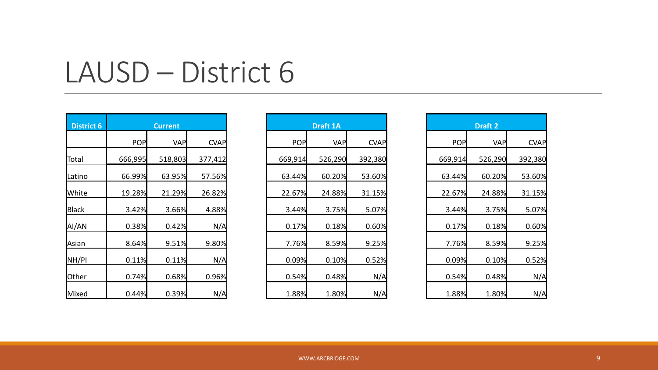| <b>District 6</b> |            | <b>Current</b> |             |            | <b>Draft 1A</b> |             |            | Draft 2    |             |
|-------------------|------------|----------------|-------------|------------|-----------------|-------------|------------|------------|-------------|
|                   | <b>POP</b> | <b>VAP</b>     | <b>CVAP</b> | <b>POP</b> | <b>VAP</b>      | <b>CVAP</b> | <b>POP</b> | <b>VAP</b> | <b>CVAP</b> |
| Total             | 666,995    | 518,803        | 377,412     | 669,914    | 526,290         | 392,380     | 669,914    | 526,290    | 392,380     |
| Latino            | 66.99%     | 63.95%         | 57.56%      | 63.44%     | 60.20%          | 53.60%      | 63.44%     | 60.20%     | 53.60%      |
| <b>White</b>      | 19.28%     | 21.29%         | 26.82%      | 22.67%     | 24.88%          | 31.15%      | 22.67%     | 24.88%     | 31.15%      |
| Black             | 3.42%      | 3.66%          | 4.88%       | 3.44%      | 3.75%           | 5.07%       | 3.44%      | 3.75%      | 5.07%       |
| AI/AN             | 0.38%      | 0.42%          | N/A         | 0.17%      | 0.18%           | 0.60%       | 0.17%      | 0.18%      | 0.60%       |
| Asian             | 8.64%      | 9.51%          | 9.80%       | 7.76%      | 8.59%           | 9.25%       | 7.76%      | 8.59%      | 9.25%       |
| NH/PI             | 0.11%      | 0.11%          | N/A         | 0.09%      | 0.10%           | 0.52%       | 0.09%      | 0.10%      | 0.52%       |
| Other             | 0.74%      | 0.68%          | 0.96%       | 0.54%      | 0.48%           | N/A         | 0.54%      | 0.48%      | N/A         |
| Mixed             | 0.44%      | 0.39%          | N/A         | 1.88%      | 1.80%           | N/A         | 1.88%      | 1.80%      | N/A         |

| <b>Current</b> |            |             |
|----------------|------------|-------------|
| <b>POP</b>     | <b>VAP</b> | <b>CVAP</b> |
| ,995           | 518,803    | 377,412     |
| 99%            | 63.95%     | 57.56%      |
| 28%            | 21.29%     | 26.82%      |
| 42%            | 3.66%      | 4.88%       |
| 38%            | 0.42%      | N/A         |
| 64%            | 9.51%      | 9.80%       |
| 11%            | 0.11%      | N/A         |
| 74%            | 0.68%      | 0.96%       |
| 44%            | 0.39%      | N/A         |

| <b>Draft 2</b> |            |             |  |  |  |  |  |
|----------------|------------|-------------|--|--|--|--|--|
| POP            | <b>VAP</b> | <b>CVAP</b> |  |  |  |  |  |
| 669,914        | 526,290    | 392,380     |  |  |  |  |  |
| 63.44%         | 60.20%     | 53.60%      |  |  |  |  |  |
| 22.67%         | 24.88%     | 31.15%      |  |  |  |  |  |
| 3.44%          | 3.75%      | 5.07%       |  |  |  |  |  |
| 0.17%          | 0.18%      | 0.60%       |  |  |  |  |  |
| 7.76%          | 8.59%      | 9.25%       |  |  |  |  |  |
| 0.09%          | 0.10%      | 0.52%       |  |  |  |  |  |
| 0.54%          | 0.48%      | N/A         |  |  |  |  |  |
| 1.88%          | 1.80%      | N/A         |  |  |  |  |  |